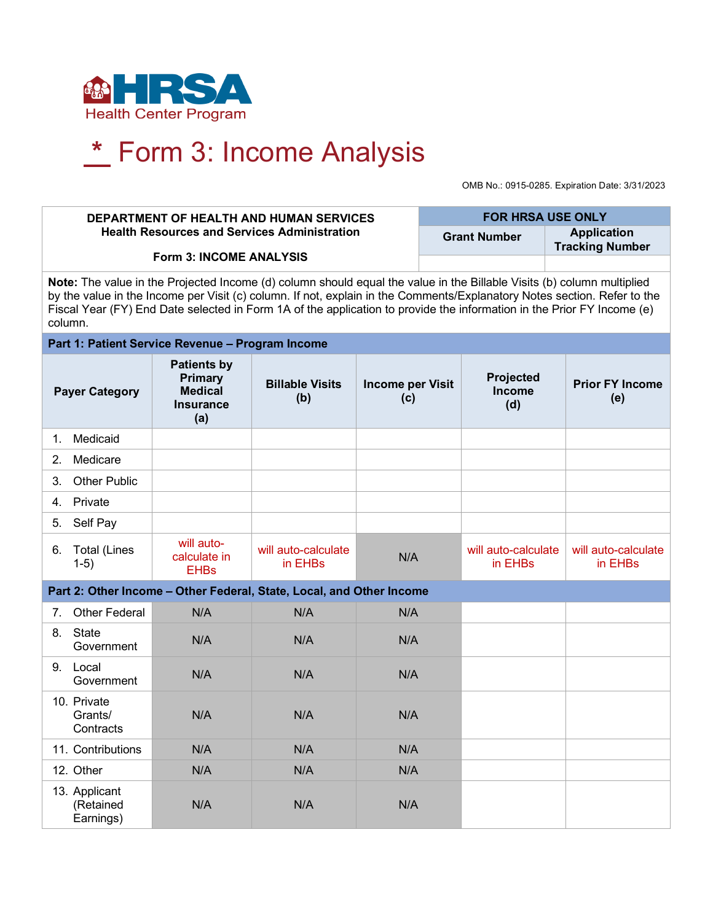

# **\*** Form 3: Income Analysis

OMB No.: 0915-0285. Expiration Date: 3/31/2023

| <b>DEPARTMENT OF HEALTH AND HUMAN SERVICES</b><br><b>Health Resources and Services Administration</b><br><b>Form 3: INCOME ANALYSIS</b>                                                                                                                                                                                                                                                 |                                         |                                                                            |                                |                                |  | <b>FOR HRSA USE ONLY</b>          |                                              |  |  |  |  |
|-----------------------------------------------------------------------------------------------------------------------------------------------------------------------------------------------------------------------------------------------------------------------------------------------------------------------------------------------------------------------------------------|-----------------------------------------|----------------------------------------------------------------------------|--------------------------------|--------------------------------|--|-----------------------------------|----------------------------------------------|--|--|--|--|
|                                                                                                                                                                                                                                                                                                                                                                                         |                                         |                                                                            |                                |                                |  | <b>Grant Number</b>               | <b>Application</b><br><b>Tracking Number</b> |  |  |  |  |
|                                                                                                                                                                                                                                                                                                                                                                                         |                                         |                                                                            |                                |                                |  |                                   |                                              |  |  |  |  |
| Note: The value in the Projected Income (d) column should equal the value in the Billable Visits (b) column multiplied<br>by the value in the Income per Visit (c) column. If not, explain in the Comments/Explanatory Notes section. Refer to the<br>Fiscal Year (FY) End Date selected in Form 1A of the application to provide the information in the Prior FY Income (e)<br>column. |                                         |                                                                            |                                |                                |  |                                   |                                              |  |  |  |  |
| Part 1: Patient Service Revenue - Program Income                                                                                                                                                                                                                                                                                                                                        |                                         |                                                                            |                                |                                |  |                                   |                                              |  |  |  |  |
| <b>Payer Category</b>                                                                                                                                                                                                                                                                                                                                                                   |                                         | <b>Patients by</b><br>Primary<br><b>Medical</b><br><b>Insurance</b><br>(a) | <b>Billable Visits</b><br>(b)  | <b>Income per Visit</b><br>(c) |  | Projected<br><b>Income</b><br>(d) | <b>Prior FY Income</b><br>(e)                |  |  |  |  |
| $1_{-}$                                                                                                                                                                                                                                                                                                                                                                                 | Medicaid                                |                                                                            |                                |                                |  |                                   |                                              |  |  |  |  |
| 2 <sup>2</sup>                                                                                                                                                                                                                                                                                                                                                                          | Medicare                                |                                                                            |                                |                                |  |                                   |                                              |  |  |  |  |
| 3.                                                                                                                                                                                                                                                                                                                                                                                      | <b>Other Public</b>                     |                                                                            |                                |                                |  |                                   |                                              |  |  |  |  |
|                                                                                                                                                                                                                                                                                                                                                                                         | 4. Private                              |                                                                            |                                |                                |  |                                   |                                              |  |  |  |  |
|                                                                                                                                                                                                                                                                                                                                                                                         | 5. Self Pay                             |                                                                            |                                |                                |  |                                   |                                              |  |  |  |  |
| 6.                                                                                                                                                                                                                                                                                                                                                                                      | <b>Total (Lines</b><br>$1-5)$           | will auto-<br>calculate in<br><b>EHBs</b>                                  | will auto-calculate<br>in EHBs | N/A                            |  | will auto-calculate<br>in EHBs    | will auto-calculate<br>in EHBs               |  |  |  |  |
| Part 2: Other Income - Other Federal, State, Local, and Other Income                                                                                                                                                                                                                                                                                                                    |                                         |                                                                            |                                |                                |  |                                   |                                              |  |  |  |  |
| $7_{\scriptscriptstyle{\sim}}$                                                                                                                                                                                                                                                                                                                                                          | <b>Other Federal</b>                    | N/A                                                                        | N/A                            | N/A                            |  |                                   |                                              |  |  |  |  |
|                                                                                                                                                                                                                                                                                                                                                                                         | 8. State<br>Government                  | N/A                                                                        | N/A                            | N/A                            |  |                                   |                                              |  |  |  |  |
|                                                                                                                                                                                                                                                                                                                                                                                         | 9. Local<br>Government                  | N/A                                                                        | N/A                            | N/A                            |  |                                   |                                              |  |  |  |  |
|                                                                                                                                                                                                                                                                                                                                                                                         | 10. Private<br>Grants/<br>Contracts     | N/A                                                                        | N/A                            | N/A                            |  |                                   |                                              |  |  |  |  |
|                                                                                                                                                                                                                                                                                                                                                                                         | 11. Contributions                       | N/A                                                                        | N/A                            | N/A                            |  |                                   |                                              |  |  |  |  |
|                                                                                                                                                                                                                                                                                                                                                                                         | 12. Other                               | N/A                                                                        | N/A                            | N/A                            |  |                                   |                                              |  |  |  |  |
|                                                                                                                                                                                                                                                                                                                                                                                         | 13. Applicant<br>(Retained<br>Earnings) | N/A                                                                        | N/A                            | N/A                            |  |                                   |                                              |  |  |  |  |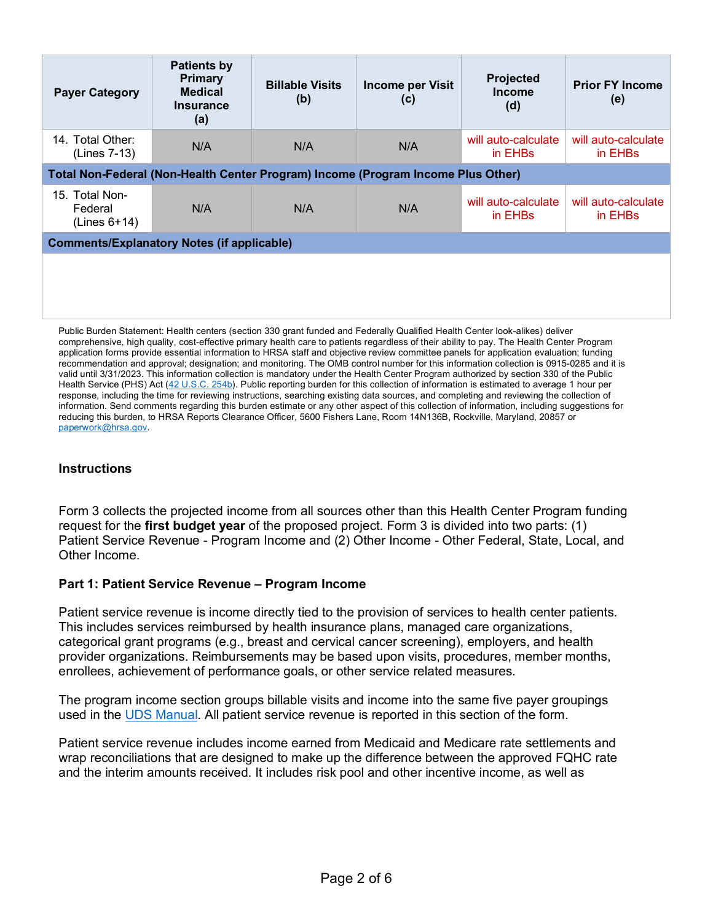| <b>Payer Category</b>                                                            | <b>Patients by</b><br><b>Primary</b><br><b>Medical</b><br><b>Insurance</b><br>(a) | <b>Billable Visits</b><br>(b) | <b>Income per Visit</b><br>(c) | Projected<br><b>Income</b><br>(d) | <b>Prior FY Income</b><br>(e)  |  |  |  |  |  |
|----------------------------------------------------------------------------------|-----------------------------------------------------------------------------------|-------------------------------|--------------------------------|-----------------------------------|--------------------------------|--|--|--|--|--|
| 14. Total Other:<br>(Lines 7-13)                                                 | N/A                                                                               | N/A                           | N/A                            | will auto-calculate<br>in EHBs    | will auto-calculate<br>in EHBs |  |  |  |  |  |
| Total Non-Federal (Non-Health Center Program) Income (Program Income Plus Other) |                                                                                   |                               |                                |                                   |                                |  |  |  |  |  |
| 15. Total Non-<br>Federal<br>$(Lines 6+14)$                                      | N/A                                                                               | N/A                           | N/A                            | will auto-calculate<br>in EHBs    | will auto-calculate<br>in EHBs |  |  |  |  |  |
| <b>Comments/Explanatory Notes (if applicable)</b>                                |                                                                                   |                               |                                |                                   |                                |  |  |  |  |  |
|                                                                                  |                                                                                   |                               |                                |                                   |                                |  |  |  |  |  |

Public Burden Statement: Health centers (section 330 grant funded and Federally Qualified Health Center look-alikes) deliver comprehensive, high quality, cost-effective primary health care to patients regardless of their ability to pay. The Health Center Program application forms provide essential information to HRSA staff and objective review committee panels for application evaluation; funding recommendation and approval; designation; and monitoring. The OMB control number for this information collection is 0915-0285 and it is valid until 3/31/2023. This information collection is mandatory under the Health Center Program authorized by section 330 of the Public Health Service (PHS) Act [\(42 U.S.C. 254b\)](http://uscode.house.gov/view.xhtml?req=granuleid:USC-prelim-title42-section254b&num=0&edition=prelim). Public reporting burden for this collection of information is estimated to average 1 hour per response, including the time for reviewing instructions, searching existing data sources, and completing and reviewing the collection of information. Send comments regarding this burden estimate or any other aspect of this collection of information, including suggestions for reducing this burden, to HRSA Reports Clearance Officer, 5600 Fishers Lane, Room 14N136B, Rockville, Maryland, 20857 or [paperwork@hrsa.gov.](mailto:paperwork@hrsa.gov) 

#### **Instructions**

Form 3 collects the projected income from all sources other than this Health Center Program funding request for the **first budget year** of the proposed project. Form 3 is divided into two parts: (1) Patient Service Revenue - Program Income and (2) Other Income - Other Federal, State, Local, and Other Income.

### **Part 1: Patient Service Revenue ‒ Program Income**

Patient service revenue is income directly tied to the provision of services to health center patients. This includes services reimbursed by health insurance plans, managed care organizations, categorical grant programs (e.g., breast and cervical cancer screening), employers, and health provider organizations. Reimbursements may be based upon visits, procedures, member months, enrollees, achievement of performance goals, or other service related measures.

The program income section groups billable visits and income into the same five payer groupings used in the [UDS Manual.](https://bphc.hrsa.gov/sites/default/files/bphc/datareporting/pdf/2020-uds-manual.pdf) All patient service revenue is reported in this section of the form.

Patient service revenue includes income earned from Medicaid and Medicare rate settlements and wrap reconciliations that are designed to make up the difference between the approved FQHC rate and the interim amounts received. It includes risk pool and other incentive income, as well as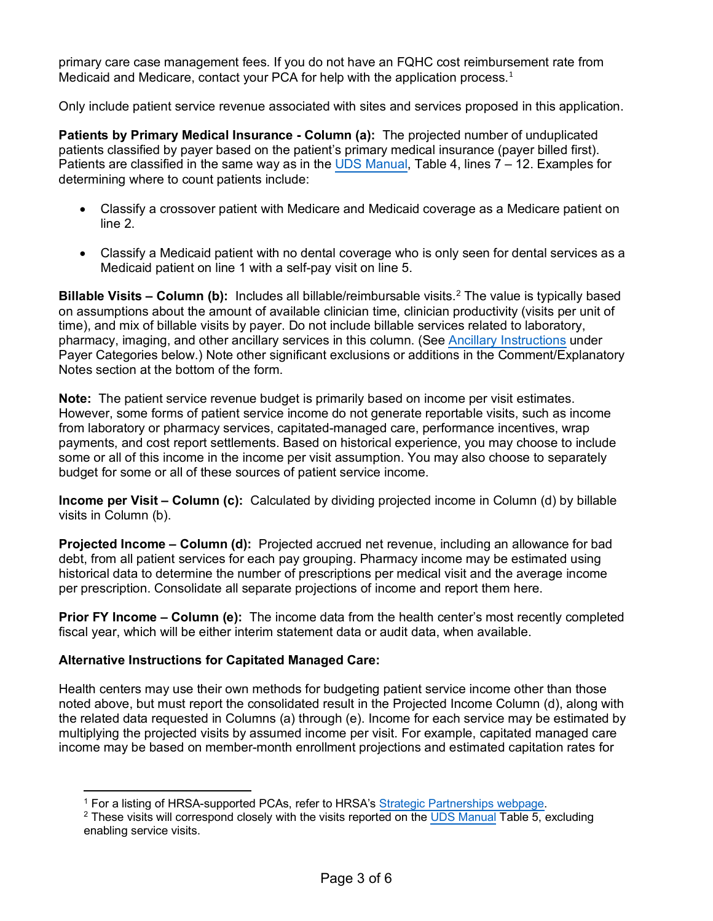primary care case management fees. If you do not have an FQHC cost reimbursement rate from Medicaid and Medicare, contact your PCA for help with the application process.<sup>[1](#page-2-0)</sup>

Only include patient service revenue associated with sites and services proposed in this application.

**Patients by Primary Medical Insurance - Column (a):** The projected number of unduplicated patients classified by payer based on the patient's primary medical insurance (payer billed first). Patients are classified in the same way as in the [UDS Manual,](https://bphc.hrsa.gov/datareporting/reporting/index.html) Table 4, lines 7 – 12. Examples for determining where to count patients include:

- Classify a crossover patient with Medicare and Medicaid coverage as a Medicare patient on line 2.
- Classify a Medicaid patient with no dental coverage who is only seen for dental services as a Medicaid patient on line 1 with a self-pay visit on line 5.

**Billable Visits - Column (b):** Includes all billable/reimbursable visits.<sup>[2](#page-2-1)</sup> The value is typically based on assumptions about the amount of available clinician time, clinician productivity (visits per unit of time), and mix of billable visits by payer. Do not include billable services related to laboratory, pharmacy, imaging, and other ancillary services in this column. (See [Ancillary Instructions](#page-3-0) under Payer Categories below.) Note other significant exclusions or additions in the Comment/Explanatory Notes section at the bottom of the form.

**Note:** The patient service revenue budget is primarily based on income per visit estimates. However, some forms of patient service income do not generate reportable visits, such as income from laboratory or pharmacy services, capitated-managed care, performance incentives, wrap payments, and cost report settlements. Based on historical experience, you may choose to include some or all of this income in the income per visit assumption. You may also choose to separately budget for some or all of these sources of patient service income.

**Income per Visit – Column (c):** Calculated by dividing projected income in Column (d) by billable visits in Column (b).

**Projected Income – Column (d):** Projected accrued net revenue, including an allowance for bad debt, from all patient services for each pay grouping. Pharmacy income may be estimated using historical data to determine the number of prescriptions per medical visit and the average income per prescription. Consolidate all separate projections of income and report them here.

**Prior FY Income – Column (e):** The income data from the health center's most recently completed fiscal year, which will be either interim statement data or audit data, when available.

### **Alternative Instructions for Capitated Managed Care:**

Health centers may use their own methods for budgeting patient service income other than those noted above, but must report the consolidated result in the Projected Income Column (d), along with the related data requested in Columns (a) through (e). Income for each service may be estimated by multiplying the projected visits by assumed income per visit. For example, capitated managed care income may be based on member-month enrollment projections and estimated capitation rates for

<sup>1</sup> For a listing of HRSA-supported PCAs, refer to HRSA's [Strategic Partnerships webpage.](https://bphc.hrsa.gov/qualityimprovement/strategicpartnerships/index.html)

<span id="page-2-1"></span><span id="page-2-0"></span> $2$  These visits will correspond closely with the visits reported on the [UDS Manual](https://bphc.hrsa.gov/datareporting/reporting/index.html) Table 5, excluding enabling service visits.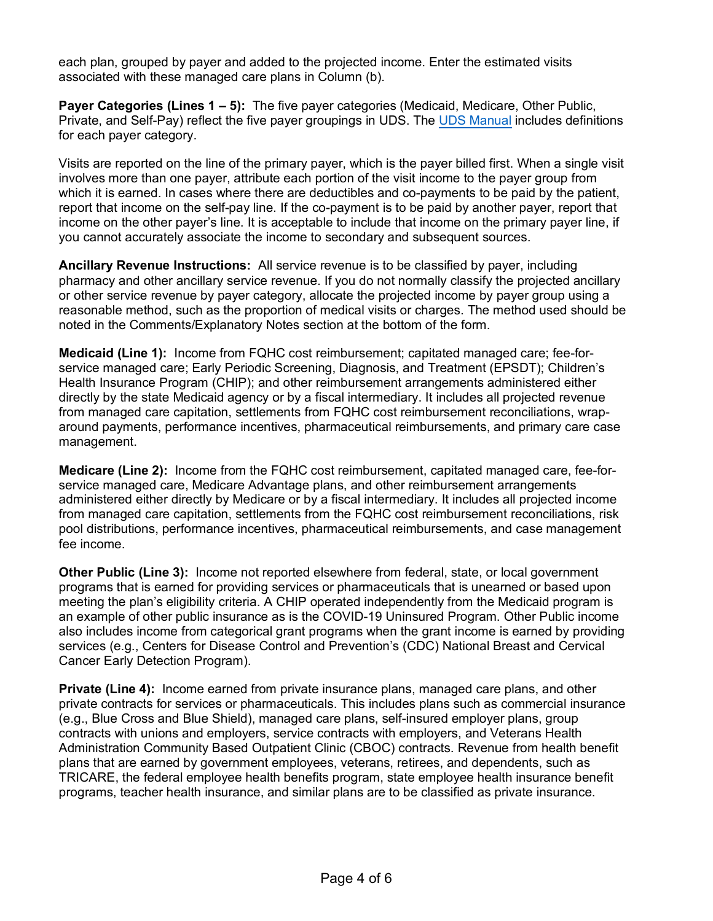each plan, grouped by payer and added to the projected income. Enter the estimated visits associated with these managed care plans in Column (b).

**Payer Categories (Lines 1 – 5):** The five payer categories (Medicaid, Medicare, Other Public, Private, and Self-Pay) reflect the five payer groupings in UDS. The [UDS Manual](https://bphc.hrsa.gov/datareporting/reporting/index.html) includes definitions for each payer category.

Visits are reported on the line of the primary payer, which is the payer billed first. When a single visit involves more than one payer, attribute each portion of the visit income to the payer group from which it is earned. In cases where there are deductibles and co-payments to be paid by the patient, report that income on the self-pay line. If the co-payment is to be paid by another payer, report that income on the other payer's line. It is acceptable to include that income on the primary payer line, if you cannot accurately associate the income to secondary and subsequent sources.

<span id="page-3-0"></span>**Ancillary Revenue Instructions:** All service revenue is to be classified by payer, including pharmacy and other ancillary service revenue. If you do not normally classify the projected ancillary or other service revenue by payer category, allocate the projected income by payer group using a reasonable method, such as the proportion of medical visits or charges. The method used should be noted in the Comments/Explanatory Notes section at the bottom of the form.

**Medicaid (Line 1):** Income from FQHC cost reimbursement; capitated managed care; fee-forservice managed care; Early Periodic Screening, Diagnosis, and Treatment (EPSDT); Children's Health Insurance Program (CHIP); and other reimbursement arrangements administered either directly by the state Medicaid agency or by a fiscal intermediary. It includes all projected revenue from managed care capitation, settlements from FQHC cost reimbursement reconciliations, wraparound payments, performance incentives, pharmaceutical reimbursements, and primary care case management.

**Medicare (Line 2):** Income from the FQHC cost reimbursement, capitated managed care, fee-forservice managed care, Medicare Advantage plans, and other reimbursement arrangements administered either directly by Medicare or by a fiscal intermediary. It includes all projected income from managed care capitation, settlements from the FQHC cost reimbursement reconciliations, risk pool distributions, performance incentives, pharmaceutical reimbursements, and case management fee income.

**Other Public (Line 3):** Income not reported elsewhere from federal, state, or local government programs that is earned for providing services or pharmaceuticals that is unearned or based upon meeting the plan's eligibility criteria. A CHIP operated independently from the Medicaid program is an example of other public insurance as is the COVID-19 Uninsured Program. Other Public income also includes income from categorical grant programs when the grant income is earned by providing services (e.g., Centers for Disease Control and Prevention's (CDC) National Breast and Cervical Cancer Early Detection Program).

**Private (Line 4):** Income earned from private insurance plans, managed care plans, and other private contracts for services or pharmaceuticals. This includes plans such as commercial insurance (e.g., Blue Cross and Blue Shield), managed care plans, self-insured employer plans, group contracts with unions and employers, service contracts with employers, and Veterans Health Administration Community Based Outpatient Clinic (CBOC) contracts. Revenue from health benefit plans that are earned by government employees, veterans, retirees, and dependents, such as TRICARE, the federal employee health benefits program, state employee health insurance benefit programs, teacher health insurance, and similar plans are to be classified as private insurance.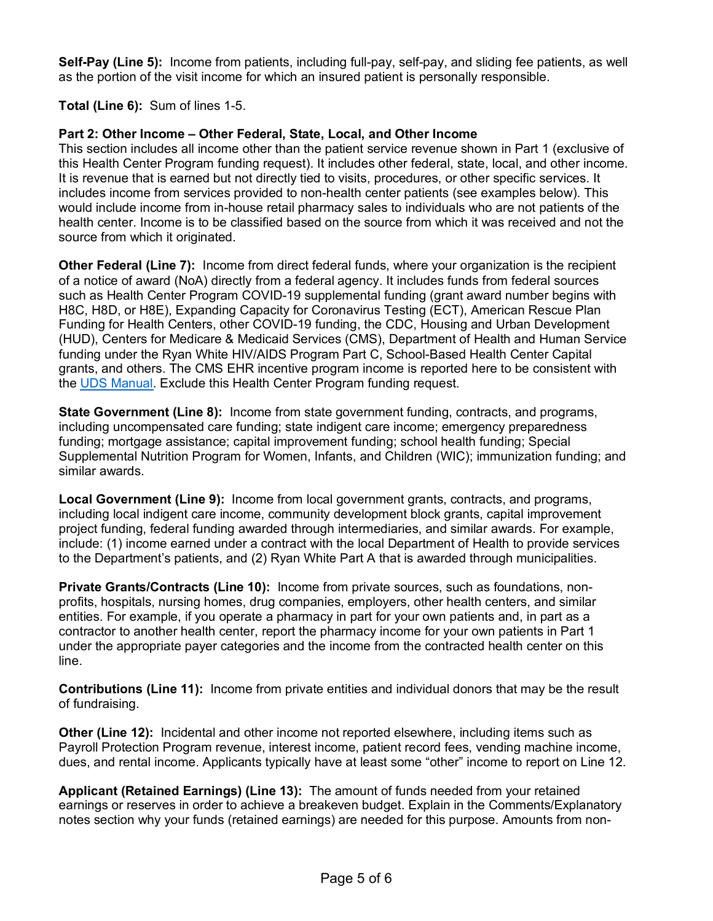**Self-Pay (Line 5):** Income from patients, including full-pay, self-pay, and sliding fee patients, as well as the portion of the visit income for which an insured patient is personally responsible.

**Total (Line 6):** Sum of lines 1-5.

## **Part 2: Other Income – Other Federal, State, Local, and Other Income**

This section includes all income other than the patient service revenue shown in Part 1 (exclusive of this Health Center Program funding request). It includes other federal, state, local, and other income. It is revenue that is earned but not directly tied to visits, procedures, or other specific services. It includes income from services provided to non-health center patients (see examples below). This would include income from in-house retail pharmacy sales to individuals who are not patients of the health center. Income is to be classified based on the source from which it was received and not the source from which it originated.

**Other Federal (Line 7):** Income from direct federal funds, where your organization is the recipient of a notice of award (NoA) directly from a federal agency. It includes funds from federal sources such as Health Center Program COVID-19 supplemental funding (grant award number begins with H8C, H8D, or H8E), Expanding Capacity for Coronavirus Testing (ECT), American Rescue Plan Funding for Health Centers, other COVID-19 funding, the CDC, Housing and Urban Development (HUD), Centers for Medicare & Medicaid Services (CMS), Department of Health and Human Service funding under the Ryan White HIV/AIDS Program Part C, School-Based Health Center Capital grants, and others. The CMS EHR incentive program income is reported here to be consistent with the [UDS Manual.](https://bphc.hrsa.gov/datareporting/reporting/index.html) Exclude this Health Center Program funding request.

**State Government (Line 8):** Income from state government funding, contracts, and programs, including uncompensated care funding; state indigent care income; emergency preparedness funding; mortgage assistance; capital improvement funding; school health funding; Special Supplemental Nutrition Program for Women, Infants, and Children (WIC); immunization funding; and similar awards.

**Local Government (Line 9):** Income from local government grants, contracts, and programs, including local indigent care income, community development block grants, capital improvement project funding, federal funding awarded through intermediaries, and similar awards. For example, include: (1) income earned under a contract with the local Department of Health to provide services to the Department's patients, and (2) Ryan White Part A that is awarded through municipalities.

**Private Grants/Contracts (Line 10):** Income from private sources, such as foundations, nonprofits, hospitals, nursing homes, drug companies, employers, other health centers, and similar entities. For example, if you operate a pharmacy in part for your own patients and, in part as a contractor to another health center, report the pharmacy income for your own patients in Part 1 under the appropriate payer categories and the income from the contracted health center on this line.

**Contributions (Line 11):** Income from private entities and individual donors that may be the result of fundraising.

**Other (Line 12):** Incidental and other income not reported elsewhere, including items such as Payroll Protection Program revenue, interest income, patient record fees, vending machine income, dues, and rental income. Applicants typically have at least some "other" income to report on Line 12.

**Applicant (Retained Earnings) (Line 13):** The amount of funds needed from your retained earnings or reserves in order to achieve a breakeven budget. Explain in the Comments/Explanatory notes section why your funds (retained earnings) are needed for this purpose. Amounts from non